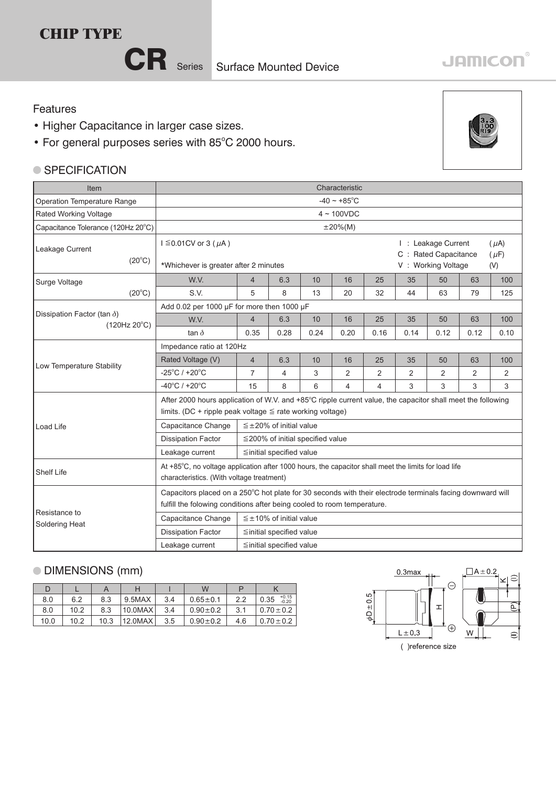## **CHIP TYPE**



#### Features

- Higher Capacitance in larger case sizes.
- For general purposes series with 85°C 2000 hours.

#### ● SPECIFICATION



| Item                                               | Characteristic                                                                                                                                                                |                                                                                                                                                                                      |                                  |      |      |                |      |                                                                   |                |                               |  |
|----------------------------------------------------|-------------------------------------------------------------------------------------------------------------------------------------------------------------------------------|--------------------------------------------------------------------------------------------------------------------------------------------------------------------------------------|----------------------------------|------|------|----------------|------|-------------------------------------------------------------------|----------------|-------------------------------|--|
| Operation Temperature Range                        | $-40 \sim +85^{\circ}$ C                                                                                                                                                      |                                                                                                                                                                                      |                                  |      |      |                |      |                                                                   |                |                               |  |
| Rated Working Voltage                              | $4 \sim 100$ VDC                                                                                                                                                              |                                                                                                                                                                                      |                                  |      |      |                |      |                                                                   |                |                               |  |
| Capacitance Tolerance (120Hz 20°C)                 |                                                                                                                                                                               | $\pm 20\%$ (M)                                                                                                                                                                       |                                  |      |      |                |      |                                                                   |                |                               |  |
| Leakage Current<br>$(20^{\circ}C)$                 | $I \leq 0.01$ CV or 3 ( $\mu$ A)<br>*Whichever is greater after 2 minutes                                                                                                     |                                                                                                                                                                                      |                                  |      |      |                |      | I: Leakage Current<br>C : Rated Capacitance<br>V: Working Voltage |                | $(\mu A)$<br>$(\mu F)$<br>(V) |  |
| Surge Voltage                                      | W.V.                                                                                                                                                                          | $\overline{4}$                                                                                                                                                                       | 6.3                              | 10   | 16   | 25             | 35   | 50                                                                | 63             | 100                           |  |
| $(20^{\circ}C)$                                    | S.V.                                                                                                                                                                          | 5                                                                                                                                                                                    | 8                                | 13   | 20   | 32             | 44   | 63                                                                | 79             | 125                           |  |
|                                                    |                                                                                                                                                                               | Add 0.02 per 1000 µF for more then 1000 µF                                                                                                                                           |                                  |      |      |                |      |                                                                   |                |                               |  |
| Dissipation Factor (tan $\delta$ )<br>(120Hz 20°C) | W.V.                                                                                                                                                                          | $\overline{4}$                                                                                                                                                                       | 6.3                              | 10   | 16   | 25             | 35   | 50                                                                | 63             | 100                           |  |
|                                                    | tan $\delta$                                                                                                                                                                  | 0.35                                                                                                                                                                                 | 0.28                             | 0.24 | 0.20 | 0.16           | 0.14 | 0.12                                                              | 0.12           | 0.10                          |  |
|                                                    | Impedance ratio at 120Hz                                                                                                                                                      |                                                                                                                                                                                      |                                  |      |      |                |      |                                                                   |                |                               |  |
| Low Temperature Stability                          | Rated Voltage (V)                                                                                                                                                             | $\overline{4}$                                                                                                                                                                       | 6.3                              | 10   | 16   | 25             | 35   | 50                                                                | 63             | 100                           |  |
|                                                    | $-25^{\circ}$ C / +20 $^{\circ}$ C                                                                                                                                            | $\overline{7}$                                                                                                                                                                       | 4                                | 3    | 2    | $\overline{2}$ | 2    | 2                                                                 | $\overline{2}$ | 2                             |  |
|                                                    | $-40^{\circ}$ C / +20 $^{\circ}$ C                                                                                                                                            | 15                                                                                                                                                                                   | 8                                | 6    | 4    | $\overline{4}$ | 3    | 3                                                                 | 3              | 3                             |  |
|                                                    | After 2000 hours application of W.V. and +85°C ripple current value, the capacitor shall meet the following<br>limits. (DC + ripple peak voltage $\leq$ rate working voltage) |                                                                                                                                                                                      |                                  |      |      |                |      |                                                                   |                |                               |  |
| Load Life                                          | Capacitance Change                                                                                                                                                            | $\leq \pm 20\%$ of initial value                                                                                                                                                     |                                  |      |      |                |      |                                                                   |                |                               |  |
|                                                    | <b>Dissipation Factor</b>                                                                                                                                                     | $\leq$ 200% of initial specified value                                                                                                                                               |                                  |      |      |                |      |                                                                   |                |                               |  |
|                                                    | Leakage current                                                                                                                                                               | ≦initial specified value                                                                                                                                                             |                                  |      |      |                |      |                                                                   |                |                               |  |
| Shelf Life                                         | At +85°C, no voltage application after 1000 hours, the capacitor shall meet the limits for load life<br>characteristics. (With voltage treatment)                             |                                                                                                                                                                                      |                                  |      |      |                |      |                                                                   |                |                               |  |
|                                                    |                                                                                                                                                                               | Capacitors placed on a 250°C hot plate for 30 seconds with their electrode terminals facing downward will<br>fulfill the folowing conditions after being cooled to room temperature. |                                  |      |      |                |      |                                                                   |                |                               |  |
| Resistance to<br>Soldering Heat                    | Capacitance Change                                                                                                                                                            |                                                                                                                                                                                      | $\leq \pm 10\%$ of initial value |      |      |                |      |                                                                   |                |                               |  |
|                                                    | <b>Dissipation Factor</b>                                                                                                                                                     |                                                                                                                                                                                      | ≦initial specified value         |      |      |                |      |                                                                   |                |                               |  |
|                                                    | Leakage current                                                                                                                                                               | ≦initial specified value                                                                                                                                                             |                                  |      |      |                |      |                                                                   |                |                               |  |

### DIMENSIONS (mm)

| D    |      |      |            |     | W              |     |                            |
|------|------|------|------------|-----|----------------|-----|----------------------------|
| 8.0  | 6.2  | 8.3  | 9.5MAX     | 3.4 | $0.65 \pm 0.1$ | 2.2 | $+0.15$<br>$-0.20$<br>0.35 |
| 8.0  | 10.2 | 8.3  | $10.0$ MAX | 3.4 | $0.90 \pm 0.2$ | 3.1 | $0.70 \pm 0.2$             |
| 10.0 | 10.2 | 10.3 | 12.0MAX    | 3.5 | $0.90 \pm 0.2$ | 4.6 | $0.70 \pm 0.2$             |



# **JAMICON®**